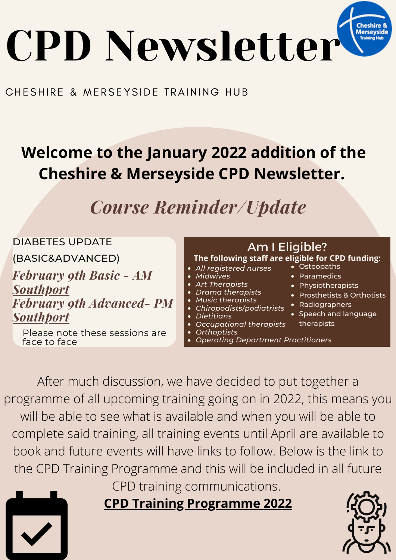

## CHESHIRE & MERSEYSIDE TRAINING HUB

## **Welcome to the January 2022 addition of the Cheshire & Merseyside CPD Newsletter.**

*Course Reminder/Update*



After much discussion, we have decided to put together a programme of all upcoming training going on in 2022, this means you will be able to see what is available and when you will be able to complete said training, all training events until April are available to book and future events will have links to follow. Below is the link to the CPD Training Programme and this will be included in all future CPD training communications.

**CPD Training [Programme](https://www.canva.com/design/DAE1tSEOPpU/i_GG3XSRmKwbEmiABQe44Q/view?utm_content=DAE1tSEOPpU&utm_campaign=designshare&utm_medium=link&utm_source=sharebutton) 2022**